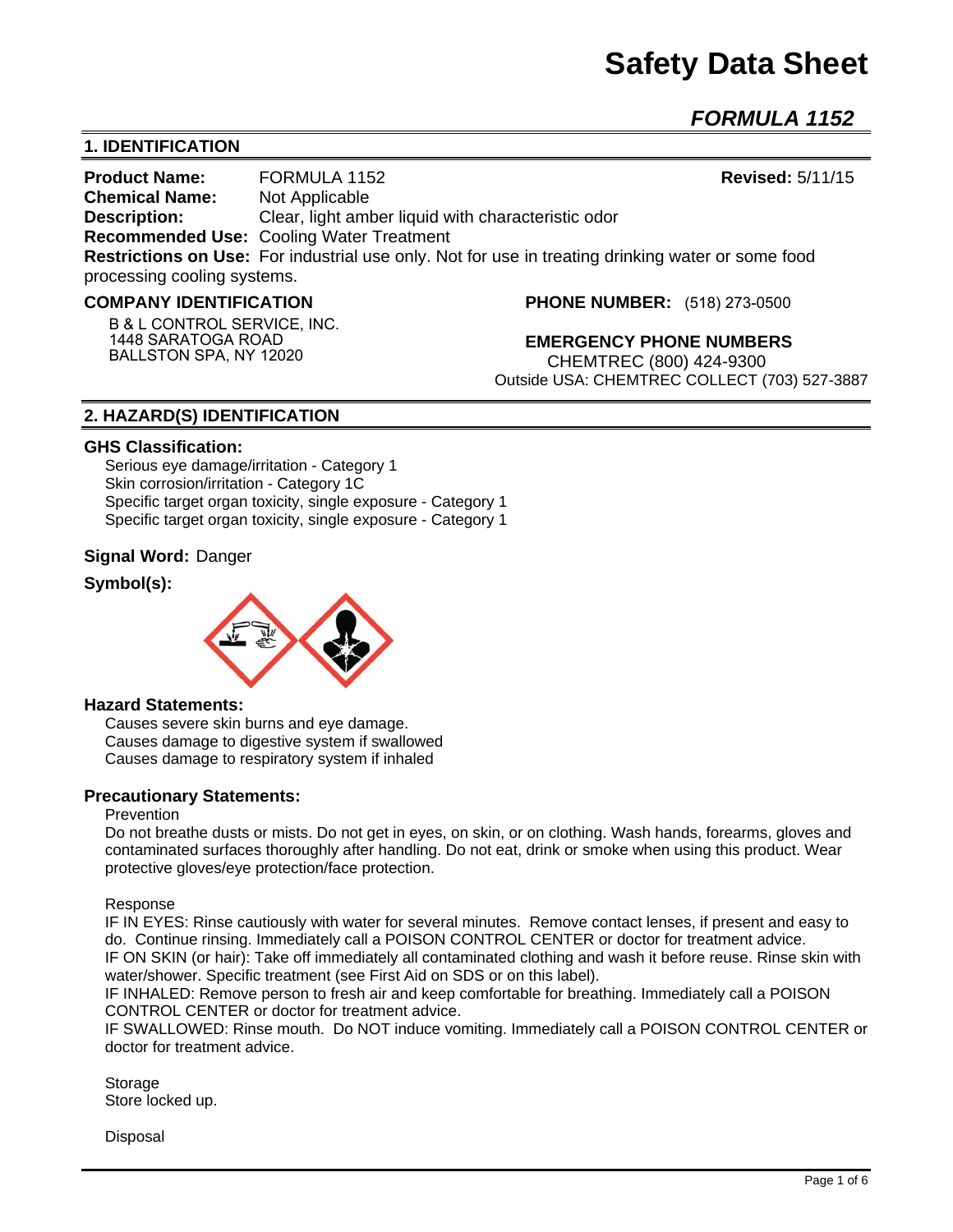# **Safety Data Sheet**

*FORMULA 1152*

# **1. IDENTIFICATION**

**Product Name:** FORMULA 1152 **Revised:** 5/11/15 **Chemical Name:** Not Applicable **Description:** Clear, light amber liquid with characteristic odor **Recommended Use:** Cooling Water Treatment **Restrictions on Use:** For industrial use only. Not for use in treating drinking water or some food processing cooling systems.

#### **COMPANY IDENTIFICATION**

**B & L CONTROL SERVICE, INC. 1448 SARATOGA ROAD BALLSTON SPA, NY 12020**

**PHONE NUMBER:** (518) 273-0500

**EMERGENCY PHONE NUMBERS** CHEMTREC (800) 424-9300 Outside USA: CHEMTREC COLLECT (703) 527-3887

# **2. HAZARD(S) IDENTIFICATION**

#### **GHS Classification:**

Serious eye damage/irritation - Category 1 Skin corrosion/irritation - Category 1C Specific target organ toxicity, single exposure - Category 1 Specific target organ toxicity, single exposure - Category 1

## **Signal Word:** Danger

## **Symbol(s):**



#### **Hazard Statements:**

Causes severe skin burns and eye damage. Causes damage to digestive system if swallowed Causes damage to respiratory system if inhaled

## **Precautionary Statements:**

#### Prevention

Do not breathe dusts or mists. Do not get in eyes, on skin, or on clothing. Wash hands, forearms, gloves and contaminated surfaces thoroughly after handling. Do not eat, drink or smoke when using this product. Wear protective gloves/eye protection/face protection.

Response

IF IN EYES: Rinse cautiously with water for several minutes. Remove contact lenses, if present and easy to do. Continue rinsing. Immediately call a POISON CONTROL CENTER or doctor for treatment advice. IF ON SKIN (or hair): Take off immediately all contaminated clothing and wash it before reuse. Rinse skin with water/shower. Specific treatment (see First Aid on SDS or on this label).

IF INHALED: Remove person to fresh air and keep comfortable for breathing. Immediately call a POISON CONTROL CENTER or doctor for treatment advice.

IF SWALLOWED: Rinse mouth. Do NOT induce vomiting. Immediately call a POISON CONTROL CENTER or doctor for treatment advice.

Storage Store locked up.

Disposal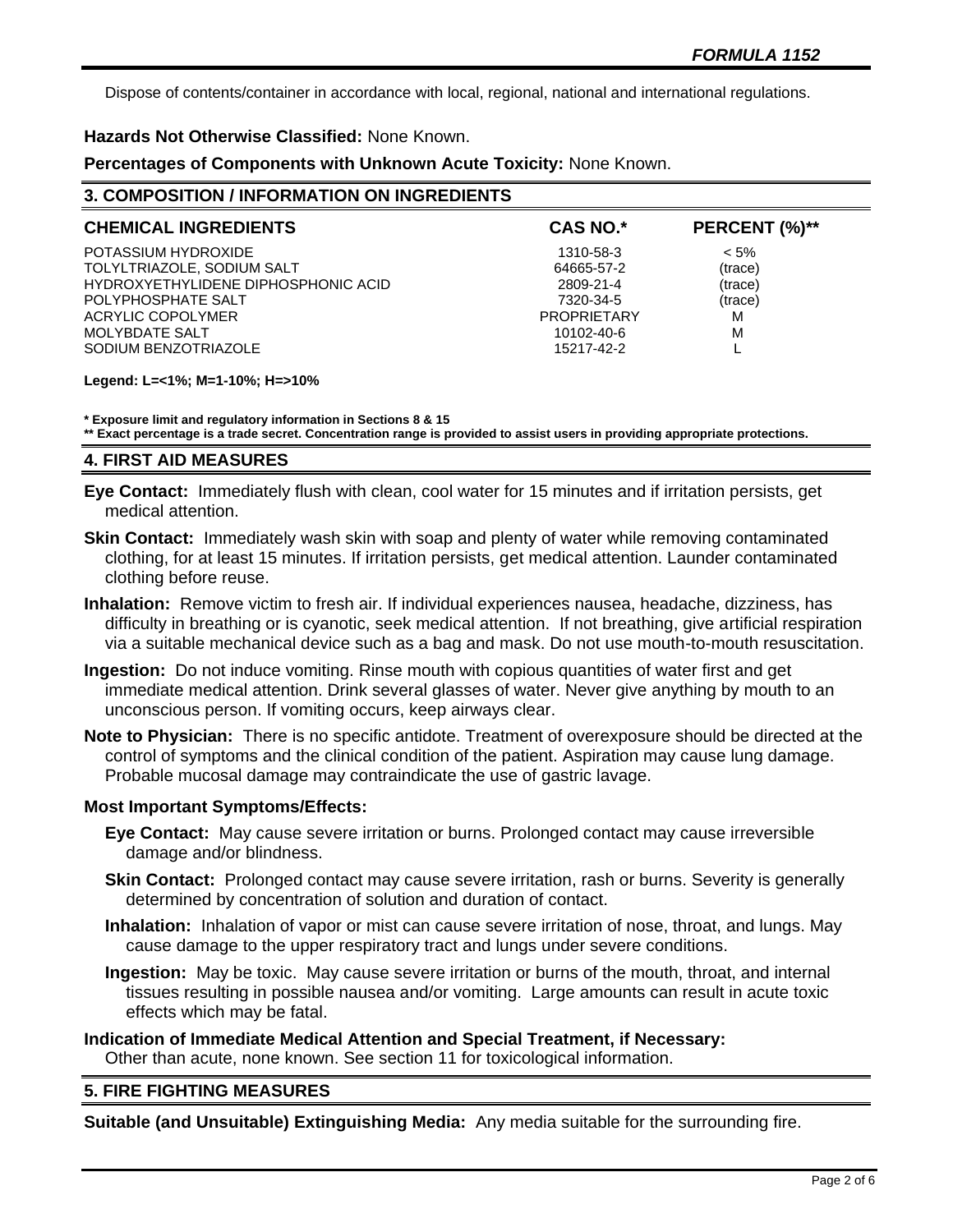Dispose of contents/container in accordance with local, regional, national and international regulations.

## **Hazards Not Otherwise Classified:** None Known.

**Percentages of Components with Unknown Acute Toxicity:** None Known.

#### **3. COMPOSITION / INFORMATION ON INGREDIENTS**

| <b>CHEMICAL INGREDIENTS</b>         | CAS NO.*           | PERCENT (%)** |
|-------------------------------------|--------------------|---------------|
| POTASSIUM HYDROXIDE                 | 1310-58-3          | $< 5\%$       |
| TOLYLTRIAZOLE, SODIUM SALT          | 64665-57-2         | (trace)       |
| HYDROXYETHYLIDENE DIPHOSPHONIC ACID | 2809-21-4          | (trace)       |
| POLYPHOSPHATE SALT                  | 7320-34-5          | (trace)       |
| ACRYLIC COPOLYMER                   | <b>PROPRIETARY</b> | М             |
| MOLYBDATE SALT                      | 10102-40-6         | М             |
| SODIUM BENZOTRIAZOLE                | 15217-42-2         |               |

#### **Legend: L=<1%; M=1-10%; H=>10%**

**\* Exposure limit and regulatory information in Sections 8 & 15 \*\* Exact percentage is a trade secret. Concentration range is provided to assist users in providing appropriate protections.**

#### **4. FIRST AID MEASURES**

- **Eye Contact:** Immediately flush with clean, cool water for 15 minutes and if irritation persists, get medical attention.
- **Skin Contact:** Immediately wash skin with soap and plenty of water while removing contaminated clothing, for at least 15 minutes. If irritation persists, get medical attention. Launder contaminated clothing before reuse.
- **Inhalation:** Remove victim to fresh air. If individual experiences nausea, headache, dizziness, has difficulty in breathing or is cyanotic, seek medical attention. If not breathing, give artificial respiration via a suitable mechanical device such as a bag and mask. Do not use mouth-to-mouth resuscitation.
- **Ingestion:** Do not induce vomiting. Rinse mouth with copious quantities of water first and get immediate medical attention. Drink several glasses of water. Never give anything by mouth to an unconscious person. If vomiting occurs, keep airways clear.
- **Note to Physician:** There is no specific antidote. Treatment of overexposure should be directed at the control of symptoms and the clinical condition of the patient. Aspiration may cause lung damage. Probable mucosal damage may contraindicate the use of gastric lavage.

## **Most Important Symptoms/Effects:**

- **Eye Contact:** May cause severe irritation or burns. Prolonged contact may cause irreversible damage and/or blindness.
- **Skin Contact:** Prolonged contact may cause severe irritation, rash or burns. Severity is generally determined by concentration of solution and duration of contact.
- **Inhalation:** Inhalation of vapor or mist can cause severe irritation of nose, throat, and lungs. May cause damage to the upper respiratory tract and lungs under severe conditions.
- **Ingestion:** May be toxic. May cause severe irritation or burns of the mouth, throat, and internal tissues resulting in possible nausea and/or vomiting. Large amounts can result in acute toxic effects which may be fatal.

## **Indication of Immediate Medical Attention and Special Treatment, if Necessary:**

Other than acute, none known. See section 11 for toxicological information.

## **5. FIRE FIGHTING MEASURES**

**Suitable (and Unsuitable) Extinguishing Media:** Any media suitable for the surrounding fire.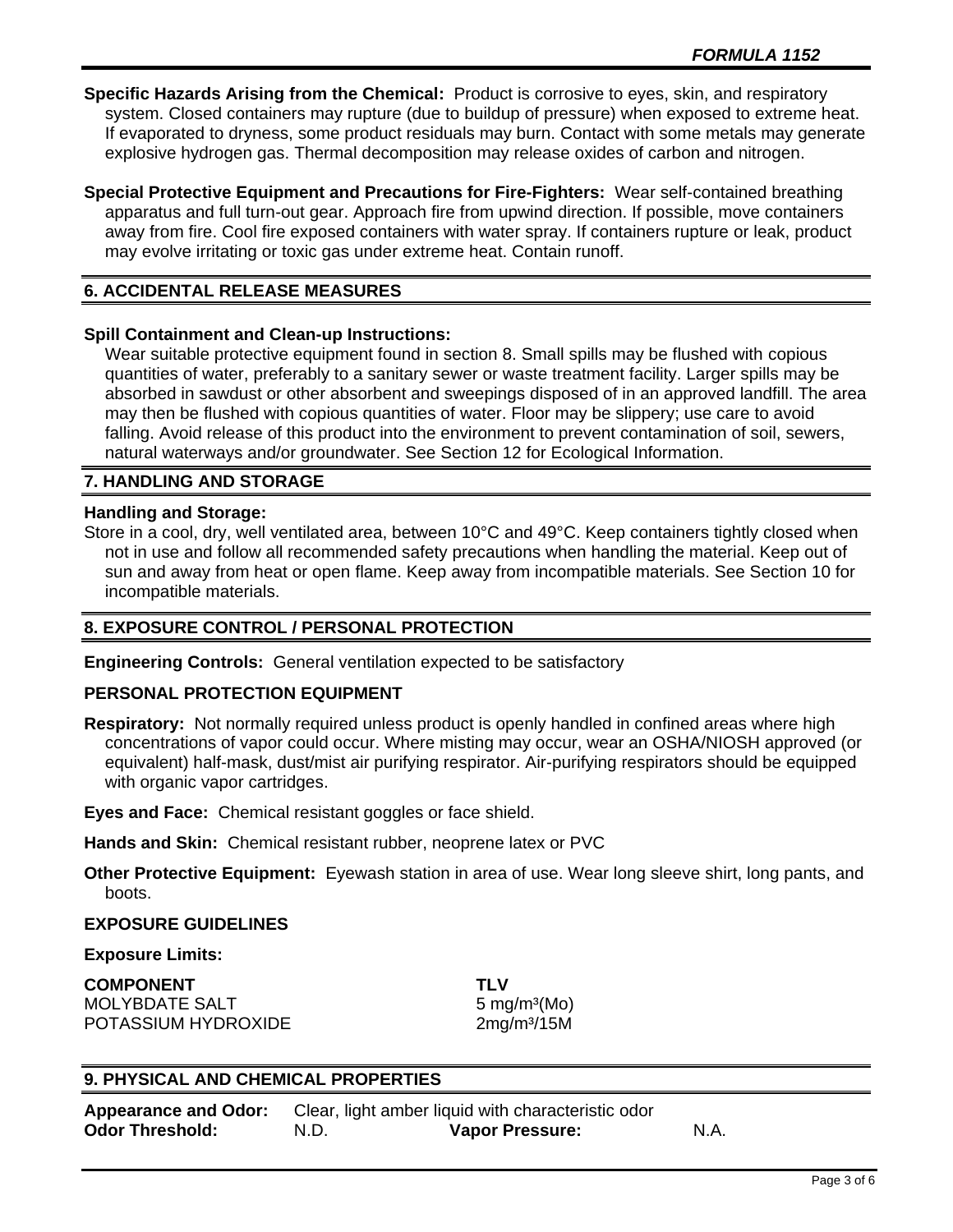**Specific Hazards Arising from the Chemical:** Product is corrosive to eyes, skin, and respiratory system. Closed containers may rupture (due to buildup of pressure) when exposed to extreme heat. If evaporated to dryness, some product residuals may burn. Contact with some metals may generate explosive hydrogen gas. Thermal decomposition may release oxides of carbon and nitrogen.

**Special Protective Equipment and Precautions for Fire-Fighters:** Wear self-contained breathing apparatus and full turn-out gear. Approach fire from upwind direction. If possible, move containers away from fire. Cool fire exposed containers with water spray. If containers rupture or leak, product may evolve irritating or toxic gas under extreme heat. Contain runoff.

# **6. ACCIDENTAL RELEASE MEASURES**

## **Spill Containment and Clean-up Instructions:**

Wear suitable protective equipment found in section 8. Small spills may be flushed with copious quantities of water, preferably to a sanitary sewer or waste treatment facility. Larger spills may be absorbed in sawdust or other absorbent and sweepings disposed of in an approved landfill. The area may then be flushed with copious quantities of water. Floor may be slippery; use care to avoid falling. Avoid release of this product into the environment to prevent contamination of soil, sewers, natural waterways and/or groundwater. See Section 12 for Ecological Information.

# **7. HANDLING AND STORAGE**

## **Handling and Storage:**

Store in a cool, dry, well ventilated area, between 10°C and 49°C. Keep containers tightly closed when not in use and follow all recommended safety precautions when handling the material. Keep out of sun and away from heat or open flame. Keep away from incompatible materials. See Section 10 for incompatible materials.

# **8. EXPOSURE CONTROL / PERSONAL PROTECTION**

**Engineering Controls:** General ventilation expected to be satisfactory

# **PERSONAL PROTECTION EQUIPMENT**

**Respiratory:** Not normally required unless product is openly handled in confined areas where high concentrations of vapor could occur. Where misting may occur, wear an OSHA/NIOSH approved (or equivalent) half-mask, dust/mist air purifying respirator. Air-purifying respirators should be equipped with organic vapor cartridges.

**Eyes and Face:** Chemical resistant goggles or face shield.

**Hands and Skin:** Chemical resistant rubber, neoprene latex or PVC

**Other Protective Equipment:** Eyewash station in area of use. Wear long sleeve shirt, long pants, and boots.

## **EXPOSURE GUIDELINES**

## **Exposure Limits:**

**COMPONENT TLV** MOLYBDATE SALT 5 mg/m<sup>3</sup>(Mo) POTASSIUM HYDROXIDE 2mg/m<sup>3</sup>/15M

# **9. PHYSICAL AND CHEMICAL PROPERTIES**

| <b>Appearance and Odor:</b> |      | Clear, light amber liquid with characteristic odor |        |
|-----------------------------|------|----------------------------------------------------|--------|
| <b>Odor Threshold:</b>      | N.D. | <b>Vapor Pressure:</b>                             | - N.A. |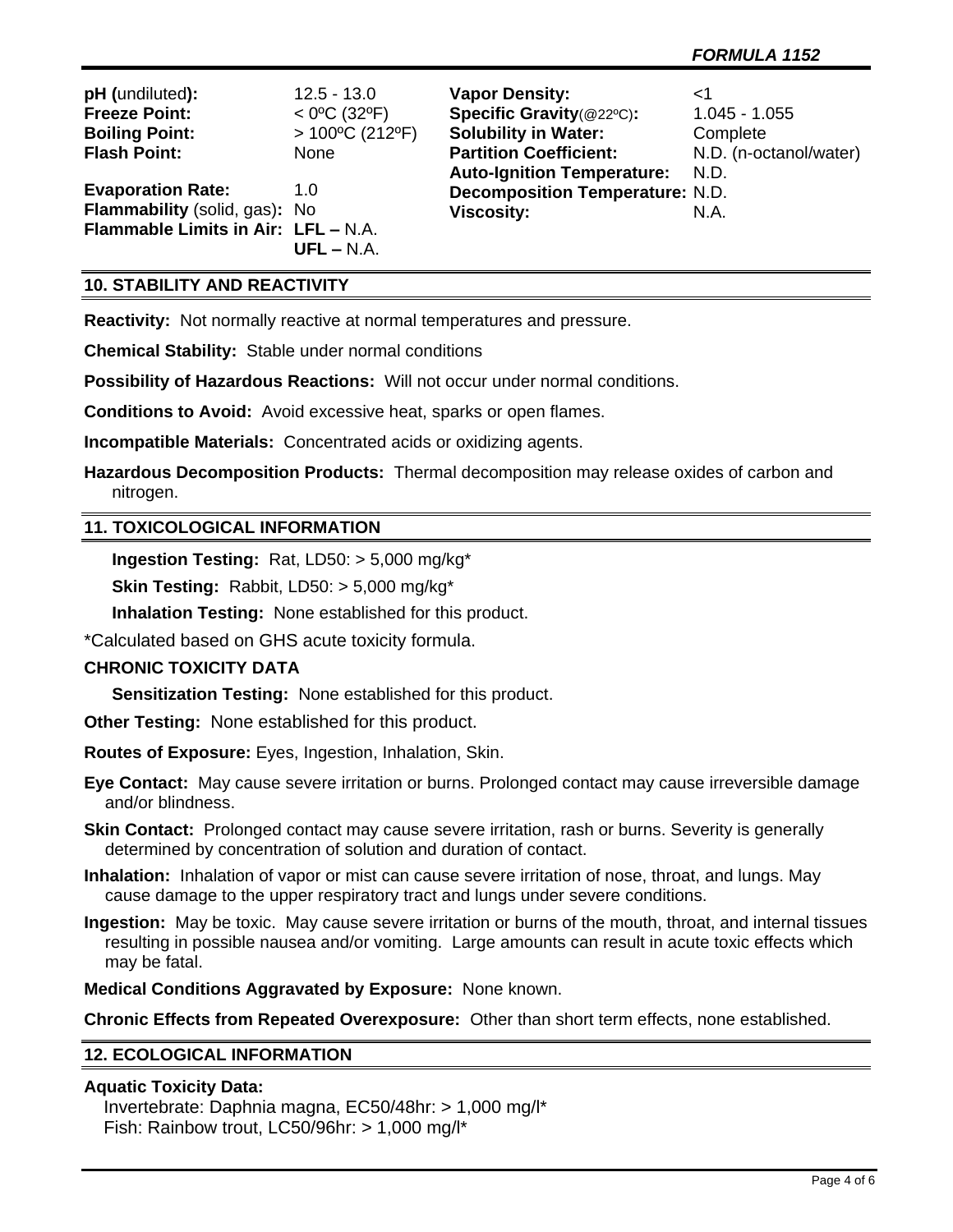| pH (undiluted):<br><b>Freeze Point:</b> | $12.5 - 13.0$<br>$<$ 0°C (32°F) | <b>Vapor Density:</b><br>Specific Gravity(@22°C): | <1<br>$1.045 - 1.055$  |
|-----------------------------------------|---------------------------------|---------------------------------------------------|------------------------|
| <b>Boiling Point:</b>                   | $> 100^{\circ}$ C (212°F)       | <b>Solubility in Water:</b>                       | Complete               |
| <b>Flash Point:</b>                     | None                            | <b>Partition Coefficient:</b>                     | N.D. (n-octanol/water) |
|                                         |                                 | <b>Auto-Ignition Temperature:</b>                 | N.D.                   |
| <b>Evaporation Rate:</b>                | 1.0                             | <b>Decomposition Temperature: N.D.</b>            |                        |
| Flammability (solid, gas): No           |                                 | <b>Viscosity:</b>                                 | N.A.                   |
| Flammable Limits in Air: LFL - N.A.     |                                 |                                                   |                        |
|                                         | $UFL - N.A.$                    |                                                   |                        |

# **10. STABILITY AND REACTIVITY**

**Reactivity:** Not normally reactive at normal temperatures and pressure.

**Chemical Stability:** Stable under normal conditions

**Possibility of Hazardous Reactions:** Will not occur under normal conditions.

**Conditions to Avoid:** Avoid excessive heat, sparks or open flames.

**Incompatible Materials:** Concentrated acids or oxidizing agents.

**Hazardous Decomposition Products:** Thermal decomposition may release oxides of carbon and nitrogen.

#### **11. TOXICOLOGICAL INFORMATION**

**Ingestion Testing:** Rat, LD50: > 5,000 mg/kg\*

**Skin Testing:** Rabbit, LD50: > 5,000 mg/kg\*

**Inhalation Testing:** None established for this product.

\*Calculated based on GHS acute toxicity formula.

# **CHRONIC TOXICITY DATA**

**Sensitization Testing:** None established for this product.

**Other Testing:** None established for this product.

**Routes of Exposure:** Eyes, Ingestion, Inhalation, Skin.

**Eye Contact:** May cause severe irritation or burns. Prolonged contact may cause irreversible damage and/or blindness.

- **Skin Contact:** Prolonged contact may cause severe irritation, rash or burns. Severity is generally determined by concentration of solution and duration of contact.
- **Inhalation:** Inhalation of vapor or mist can cause severe irritation of nose, throat, and lungs. May cause damage to the upper respiratory tract and lungs under severe conditions.
- **Ingestion:** May be toxic. May cause severe irritation or burns of the mouth, throat, and internal tissues resulting in possible nausea and/or vomiting. Large amounts can result in acute toxic effects which may be fatal.

**Medical Conditions Aggravated by Exposure:** None known.

**Chronic Effects from Repeated Overexposure:** Other than short term effects, none established.

## **12. ECOLOGICAL INFORMATION**

#### **Aquatic Toxicity Data:**

 Invertebrate: Daphnia magna, EC50/48hr: > 1,000 mg/l\* Fish: Rainbow trout, LC50/96hr: > 1,000 mg/l\*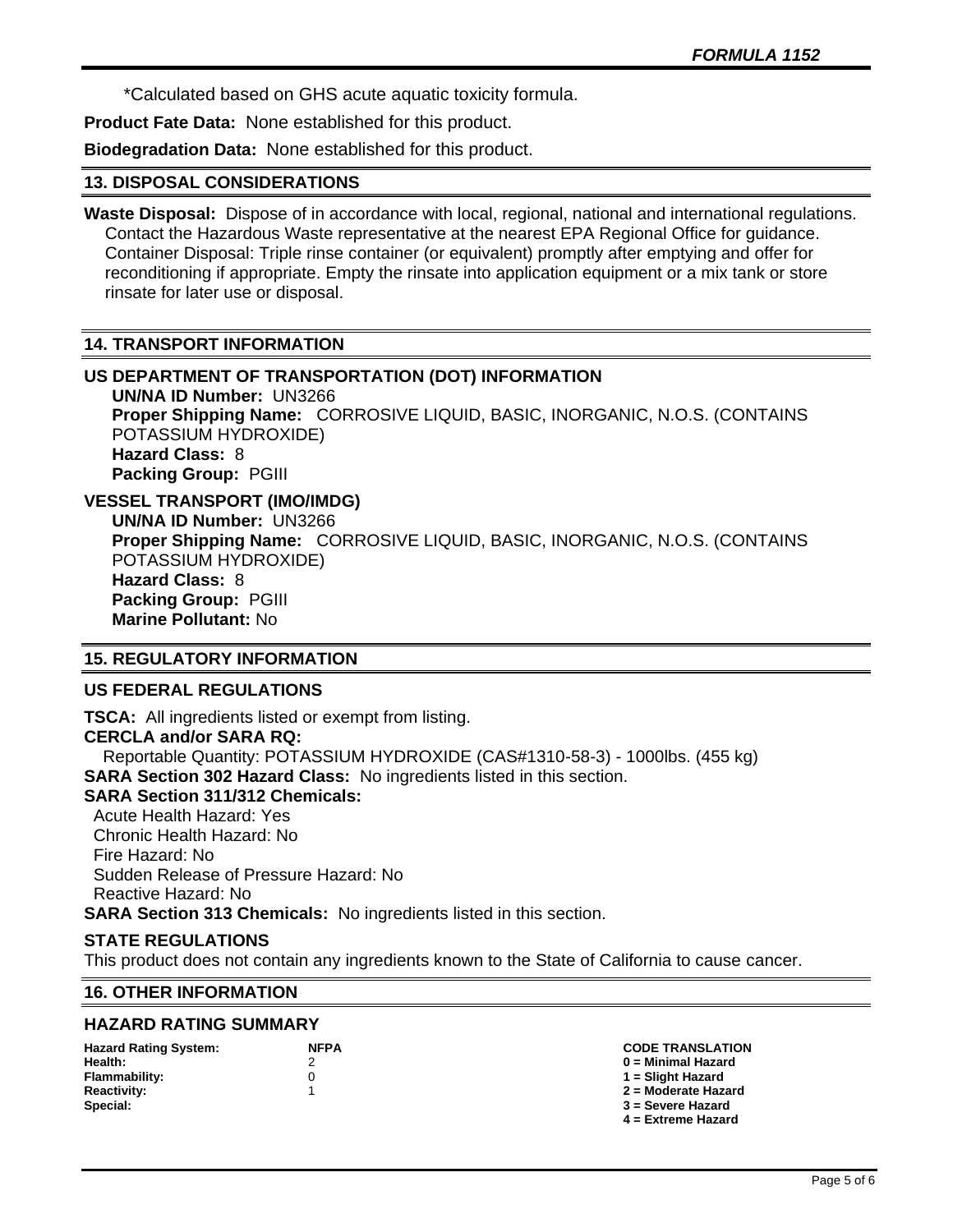\*Calculated based on GHS acute aquatic toxicity formula.

**Product Fate Data:** None established for this product.

**Biodegradation Data:** None established for this product.

## **13. DISPOSAL CONSIDERATIONS**

**Waste Disposal:** Dispose of in accordance with local, regional, national and international regulations. Contact the Hazardous Waste representative at the nearest EPA Regional Office for guidance. Container Disposal: Triple rinse container (or equivalent) promptly after emptying and offer for reconditioning if appropriate. Empty the rinsate into application equipment or a mix tank or store rinsate for later use or disposal.

## **14. TRANSPORT INFORMATION**

## **US DEPARTMENT OF TRANSPORTATION (DOT) INFORMATION**

**UN/NA ID Number:** UN3266 **Proper Shipping Name:** CORROSIVE LIQUID, BASIC, INORGANIC, N.O.S. (CONTAINS POTASSIUM HYDROXIDE) **Hazard Class:** 8 **Packing Group:** PGIII

**VESSEL TRANSPORT (IMO/IMDG)**

**UN/NA ID Number:** UN3266 **Proper Shipping Name:** CORROSIVE LIQUID, BASIC, INORGANIC, N.O.S. (CONTAINS POTASSIUM HYDROXIDE) **Hazard Class:** 8 **Packing Group:** PGIII **Marine Pollutant:** No

# **15. REGULATORY INFORMATION**

## **US FEDERAL REGULATIONS**

**TSCA:** All ingredients listed or exempt from listing. **CERCLA and/or SARA RQ:**  Reportable Quantity: POTASSIUM HYDROXIDE (CAS#1310-58-3) - 1000lbs. (455 kg) **SARA Section 302 Hazard Class:** No ingredients listed in this section. **SARA Section 311/312 Chemicals:**  Acute Health Hazard: Yes Chronic Health Hazard: No Fire Hazard: No Sudden Release of Pressure Hazard: No Reactive Hazard: No **SARA Section 313 Chemicals:** No ingredients listed in this section.

## **STATE REGULATIONS**

This product does not contain any ingredients known to the State of California to cause cancer.

## **16. OTHER INFORMATION**

#### **HAZARD RATING SUMMARY**

| <b>Hazard Rating System:</b> | <b>NFPA</b> |
|------------------------------|-------------|
| Health:                      | 2           |
| <b>Flammability:</b>         | 0           |
| <b>Reactivity:</b>           | 1           |
| Special:                     |             |

**Hazard Rating System: NFPA CODE TRANSLATION Health:** 2 **0 = Minimal Hazard Flammability:** 0 **1 = Slight Hazard Reactivity:** 1 **2 = Moderate Hazard Special: 3 = Severe Hazard 4 = Extreme Hazard**